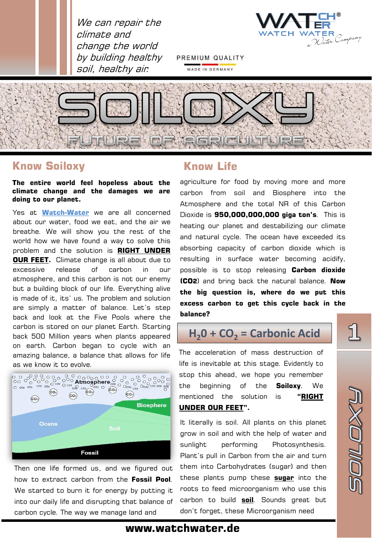



PREMIUM QUALITY MADE IN GERMANY



# **Know Soiloxy**

**The entire world feel hopeless about the climate change and the damages we are doing to our planet.**

Yes at **Watch-Water** we are all concerned about our water, food we eat, and the air we breathe. We will show you the rest of the world how we have found a way to solve this problem and the solution is **RIGHT UNDER OUR FEET.** Climate change is all about due to excessive release of carbon in our atmosphere, and this carbon is not our enemy but a building block of our life. Everything alive is made of it, its' us. The problem and solution are simply a matter of balance. Let's step back and look at the Five Pools where the carbon is stored on our planet Earth. Starting back 500 Million years when plants appeared on earth. Carbon began to cycle with an amazing balance, a balance that allows for life as we know it to evolve.



Then one life formed us, and we figured out how to extract carbon from the **Fossil Pool**. We started to burn it for energy by putting it into our daily life and disrupting that balance of carbon cycle. The way we manage land and

# **Know Life**

agriculture for food by moving more and more carbon from soil and Biosphere into the Atmosphere and the total NR of this Carbon Dioxide is **950,000,000,000 giga ton's**. This is heating our planet and destabilizing our climate and natural cycle. The ocean have exceeded its absorbing capacity of carbon dioxide which is resulting in surface water becoming acidify, possible is to stop releasing **Carbon dioxide (CO2**) and bring back the natural balance. **Now the big question is, where do we put this excess carbon to get this cycle back in the balance?**

# **H20 + CO<sup>2</sup> = Carbonic Acid**

The acceleration of mass destruction of life is inevitable at this stage. Evidently to stop this ahead, we hope you remember the beginning of the **Soiloxy**. We mentioned the solution is **"RIGHT UNDER OUR FEET".**

It literally is soil. All plants on this planet grow in soil and with the help of water and sunlight performing Photosynthesis. Plant's pull in Carbon from the air and turn them into Carbohydrates (sugar) and then these plants pump these **sugar** into the roots to feed microorganism who use this carbon to build **soil**. Sounds great but don't forget, these Microorganism need

51



## **www.watchwater.de**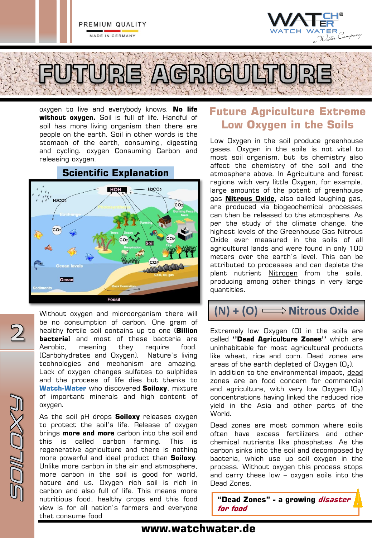

oxygen to live and everybody knows. **No life without oxygen.** Soil is full of life. Handful of soil has more living organism than there are people on the earth. Soil in other words is the stomach of the earth, consuming, digesting and cycling. oxygen Consuming Carbon and releasing oxygen.

# **Scientific Explanation**



Without oxygen and microorganism there will be no consumption of carbon. One gram of healthy fertile soil contains up to one (**Billion bacteria**) and most of these bacteria are Aerobic, meaning they require food. (Carbohydrates and Oxygen). Nature's living technologies and mechanism are amazing. Lack of oxygen changes sulfates to sulphides and the process of life dies but thanks to **Watch-Water** who discovered **Soiloxy**, mixture of important minerals and high content of oxygen.

 $\overline{2}$ 

**DILOX!** 

As the soil pH drops **Soiloxy** releases oxygen to protect the soil's life. Release of oxygen brings **more and more** carbon into the soil and this is called carbon farming. This is regenerative agriculture and there is nothing more powerful and ideal product than **Soiloxy**. Unlike more carbon in the air and atmosphere, more carbon in the soil is good for world, nature and us. Oxygen rich soil is rich in carbon and also full of life. This means more nutritious food, healthy crops and this food view is for all nation's farmers and everyone that consume food

# **Future Agriculture Extreme Low Oxygen in the Soils**

Low Oxygen in the soil produce greenhouse gases. Oxygen in the soils is not vital to most soil organism, but its chemistry also affect the chemistry of the soil and the atmosphere above. In Agriculture and forest regions with very little Oxygen, for example, large amounts of the potent of greenhouse gas **Nitrous Oxide**, also called laughing gas, are produced via biogeochemical processes can then be released to the atmosphere. As per the study of the climate change, the highest levels of the Greenhouse Gas Nitrous Oxide ever measured in the soils of all agricultural lands and were found in only 100 meters over the earth's level. This can be attributed to processes and can deplete the plant nutrient Nitrogen from the soils, producing among other things in very large quantities.

# **(N) + (O) = Nitrous Oxide**

Extremely low Oxygen (O) in the soils are called **''Dead Agriculture Zones''** which are uninhabitable for most agricultural products like wheat, rice and corn. Dead zones are areas of the earth depleted of Oxygen  $(O_2)$ . In addition to the environmental impact, dead zones are an food concern for commercial and agriculture, with very low Oxygen  $(O_2)$ concentrations having linked the reduced rice yield in the Asia and other parts of the World.

Dead zones are most common where soils often have excess fertilizers and other chemical nutrients like phosphates. As the carbon sinks into the soil and decomposed by bacteria, which use up soil oxygen in the process. Without oxygen this process stops and carry these low – oxygen soils into the Dead Zones.

**"Dead Zones" - a growing disaster for food** 

## **www.watchwater.de**